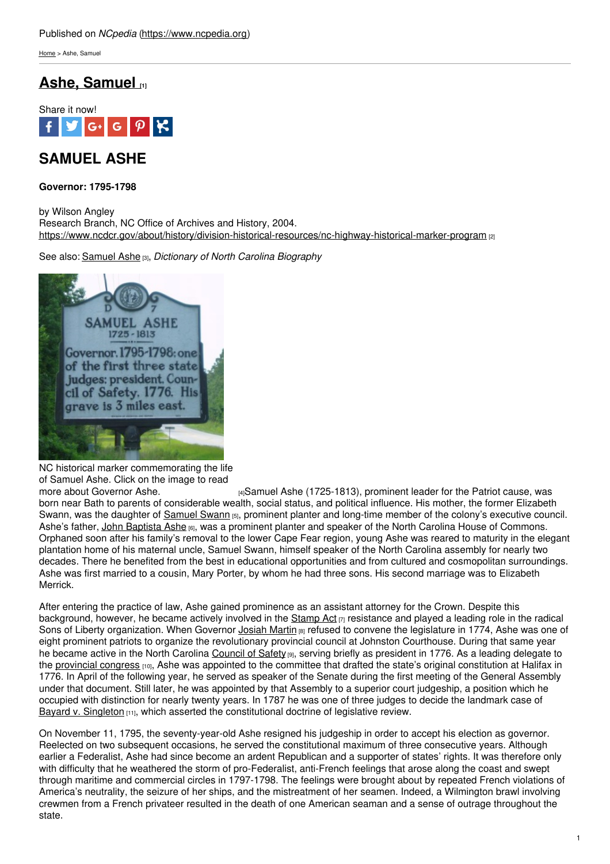[Home](https://www.ncpedia.org/) > Ashe, Samuel

## **Ashe, [Samuel](https://www.ncpedia.org/ashe-samuel) [1]**



# **SAMUEL ASHE**

**Governor: 1795-1798**

by Wilson Angley Research Branch, NC Office of Archives and History, 2004. <https://www.ncdcr.gov/about/history/division-historical-resources/nc-highway-historical-marker-program> [2]

See also: [Samuel](https://www.ncpedia.org/biography/ashe-samuel) Ashe [3], *Dictionary of North Carolina Biography*



NC historical marker commemorating the life of Samuel Ashe. Click on the image to read<br>more about Governor Ashe.

[4] Samuel Ashe (1725-1813), prominent leader for the Patriot cause, was born near Bath to parents of considerable wealth, social status, and political influence. His mother, the former Elizabeth Swann, was the daughter of [Samuel](https://www.ncpedia.org/biography/swann-or-swan-samuel) Swann [5], prominent planter and long-time member of the colony's executive council. Ashe's father, John [Baptista](https://www.ncpedia.org/biography/ashe-john-baptista) Ashe [6], was a prominent planter and speaker of the North Carolina House of Commons. Orphaned soon after his family's removal to the lower Cape Fear region, young Ashe was reared to maturity in the elegant plantation home of his maternal uncle, Samuel Swann, himself speaker of the North Carolina assembly for nearly two decades. There he benefited from the best in educational opportunities and from cultured and cosmopolitan surroundings. Ashe was first married to a cousin, Mary Porter, by whom he had three sons. His second marriage was to Elizabeth Merrick.

After entering the practice of law, Ashe gained prominence as an assistant attorney for the Crown. Despite this background, however, he became actively involved in the [Stamp](https://www.ncpedia.org/stamp-act) Act  $\eta$  resistance and played a leading role in the radical Sons of Liberty organization. When Governor [Josiah](https://www.ncpedia.org/biography/martin-josiah) Martin [8] refused to convene the legislature in 1774, Ashe was one of eight prominent patriots to organize the revolutionary provincial council at Johnston Courthouse. During that same year he became active in the North Carolina [Council](https://www.ncpedia.org/council-safety) of Safety [9], serving briefly as president in 1776. As a leading delegate to the [provincial](https://www.ncpedia.org/provincial-congresses) congress <sub>[10]</sub>, Ashe was appointed to the committee that drafted the state's original constitution at Halifax in 1776. In April of the following year, he served as speaker of the Senate during the first meeting of the General Assembly under that document. Still later, he was appointed by that Assembly to a superior court judgeship, a position which he occupied with distinction for nearly twenty years. In 1787 he was one of three judges to decide the landmark case of Bayard v. [Singleton](https://www.ncpedia.org/bayard-v-singleton) [11], which asserted the constitutional doctrine of legislative review.

On November 11, 1795, the seventy-year-old Ashe resigned his judgeship in order to accept his election as governor. Reelected on two subsequent occasions, he served the constitutional maximum of three consecutive years. Although earlier a Federalist, Ashe had since become an ardent Republican and a supporter of states' rights. It was therefore only with difficulty that he weathered the storm of pro-Federalist, anti-French feelings that arose along the coast and swept through maritime and commercial circles in 1797-1798. The feelings were brought about by repeated French violations of America's neutrality, the seizure of her ships, and the mistreatment of her seamen. Indeed, a Wilmington brawl involving crewmen from a French privateer resulted in the death of one American seaman and a sense of outrage throughout the state.